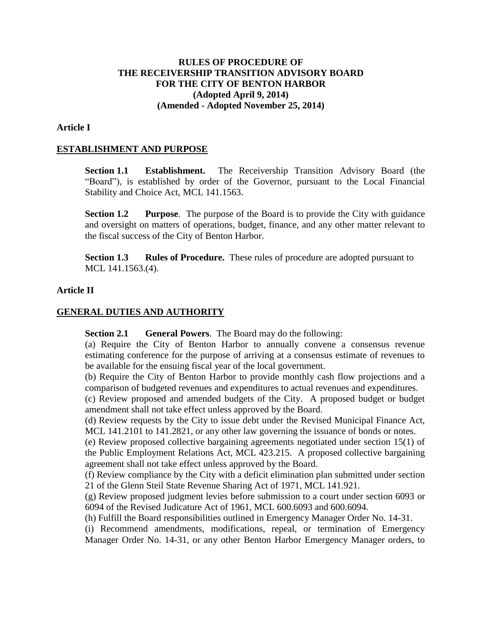# **RULES OF PROCEDURE OF THE RECEIVERSHIP TRANSITION ADVISORY BOARD FOR THE CITY OF BENTON HARBOR (Adopted April 9, 2014) (Amended - Adopted November 25, 2014)**

#### **Article I**

#### **ESTABLISHMENT AND PURPOSE**

**Section 1.1 Establishment.** The Receivership Transition Advisory Board (the "Board"), is established by order of the Governor, pursuant to the Local Financial Stability and Choice Act, MCL 141.1563.

**Section 1.2 Purpose**. The purpose of the Board is to provide the City with guidance and oversight on matters of operations, budget, finance, and any other matter relevant to the fiscal success of the City of Benton Harbor.

**Section 1.3 Rules of Procedure.** These rules of procedure are adopted pursuant to MCL 141.1563.(4).

# **Article II**

#### **GENERAL DUTIES AND AUTHORITY**

**Section 2.1 General Powers**. The Board may do the following:

(a) Require the City of Benton Harbor to annually convene a consensus revenue estimating conference for the purpose of arriving at a consensus estimate of revenues to be available for the ensuing fiscal year of the local government.

(b) Require the City of Benton Harbor to provide monthly cash flow projections and a comparison of budgeted revenues and expenditures to actual revenues and expenditures.

(c) Review proposed and amended budgets of the City. A proposed budget or budget amendment shall not take effect unless approved by the Board.

(d) Review requests by the City to issue debt under the Revised Municipal Finance Act, MCL 141.2101 to 141.2821, or any other law governing the issuance of bonds or notes.

(e) Review proposed collective bargaining agreements negotiated under section 15(1) of the Public Employment Relations Act, MCL 423.215. A proposed collective bargaining agreement shall not take effect unless approved by the Board.

(f) Review compliance by the City with a deficit elimination plan submitted under section 21 of the Glenn Steil State Revenue Sharing Act of 1971, MCL 141.921.

(g) Review proposed judgment levies before submission to a court under section 6093 or 6094 of the Revised Judicature Act of 1961, MCL 600.6093 and 600.6094.

(h) Fulfill the Board responsibilities outlined in Emergency Manager Order No. 14-31.

(i) Recommend amendments, modifications, repeal, or termination of Emergency Manager Order No. 14-31, or any other Benton Harbor Emergency Manager orders, to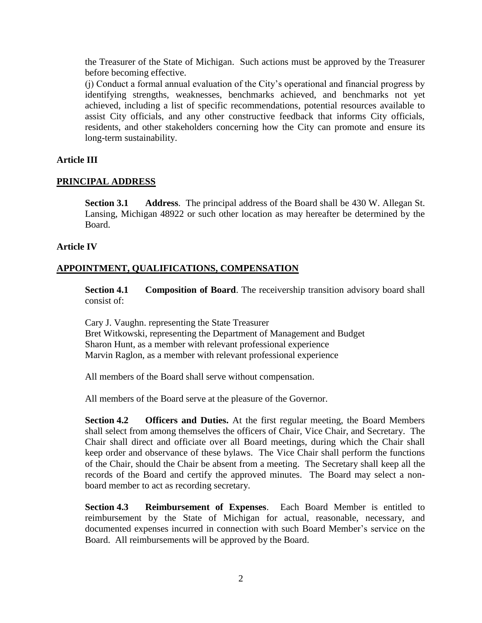the Treasurer of the State of Michigan. Such actions must be approved by the Treasurer before becoming effective.

(j) Conduct a formal annual evaluation of the City's operational and financial progress by identifying strengths, weaknesses, benchmarks achieved, and benchmarks not yet achieved, including a list of specific recommendations, potential resources available to assist City officials, and any other constructive feedback that informs City officials, residents, and other stakeholders concerning how the City can promote and ensure its long-term sustainability.

# **Article III**

### **PRINCIPAL ADDRESS**

**Section 3.1 Address**. The principal address of the Board shall be 430 W. Allegan St. Lansing, Michigan 48922 or such other location as may hereafter be determined by the Board.

### **Article IV**

# **APPOINTMENT, QUALIFICATIONS, COMPENSATION**

**Section 4.1 Composition of Board**. The receivership transition advisory board shall consist of:

Cary J. Vaughn. representing the State Treasurer Bret Witkowski, representing the Department of Management and Budget Sharon Hunt, as a member with relevant professional experience Marvin Raglon, as a member with relevant professional experience

All members of the Board shall serve without compensation.

All members of the Board serve at the pleasure of the Governor.

**Section 4.2 Officers and Duties.** At the first regular meeting, the Board Members shall select from among themselves the officers of Chair, Vice Chair, and Secretary. The Chair shall direct and officiate over all Board meetings, during which the Chair shall keep order and observance of these bylaws. The Vice Chair shall perform the functions of the Chair, should the Chair be absent from a meeting. The Secretary shall keep all the records of the Board and certify the approved minutes. The Board may select a nonboard member to act as recording secretary.

**Section 4.3 Reimbursement of Expenses**. Each Board Member is entitled to reimbursement by the State of Michigan for actual, reasonable, necessary, and documented expenses incurred in connection with such Board Member's service on the Board. All reimbursements will be approved by the Board.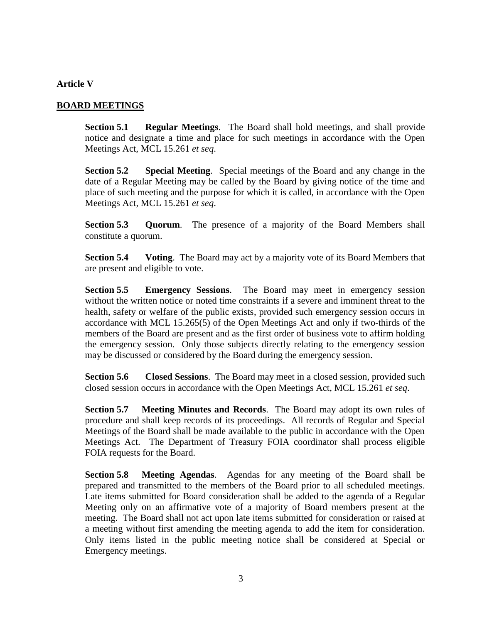# **Article V**

# **BOARD MEETINGS**

**Section 5.1 Regular Meetings**. The Board shall hold meetings, and shall provide notice and designate a time and place for such meetings in accordance with the Open Meetings Act, MCL 15.261 *et seq*.

**Section 5.2 Special Meeting**. Special meetings of the Board and any change in the date of a Regular Meeting may be called by the Board by giving notice of the time and place of such meeting and the purpose for which it is called, in accordance with the Open Meetings Act, MCL 15.261 *et seq*.

**Section 5.3 Quorum**. The presence of a majority of the Board Members shall constitute a quorum.

**Section 5.4 Voting**. The Board may act by a majority vote of its Board Members that are present and eligible to vote.

**Section 5.5 Emergency Sessions**. The Board may meet in emergency session without the written notice or noted time constraints if a severe and imminent threat to the health, safety or welfare of the public exists, provided such emergency session occurs in accordance with MCL 15.265(5) of the Open Meetings Act and only if two-thirds of the members of the Board are present and as the first order of business vote to affirm holding the emergency session. Only those subjects directly relating to the emergency session may be discussed or considered by the Board during the emergency session.

**Section 5.6 Closed Sessions**. The Board may meet in a closed session, provided such closed session occurs in accordance with the Open Meetings Act, MCL 15.261 *et seq*.

**Section 5.7 Meeting Minutes and Records**. The Board may adopt its own rules of procedure and shall keep records of its proceedings. All records of Regular and Special Meetings of the Board shall be made available to the public in accordance with the Open Meetings Act. The Department of Treasury FOIA coordinator shall process eligible FOIA requests for the Board.

**Section 5.8 Meeting Agendas**. Agendas for any meeting of the Board shall be prepared and transmitted to the members of the Board prior to all scheduled meetings. Late items submitted for Board consideration shall be added to the agenda of a Regular Meeting only on an affirmative vote of a majority of Board members present at the meeting. The Board shall not act upon late items submitted for consideration or raised at a meeting without first amending the meeting agenda to add the item for consideration. Only items listed in the public meeting notice shall be considered at Special or Emergency meetings.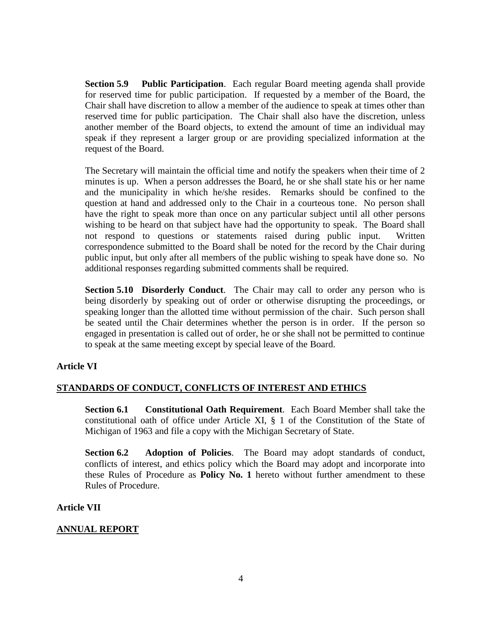**Section 5.9 Public Participation**. Each regular Board meeting agenda shall provide for reserved time for public participation. If requested by a member of the Board, the Chair shall have discretion to allow a member of the audience to speak at times other than reserved time for public participation. The Chair shall also have the discretion, unless another member of the Board objects, to extend the amount of time an individual may speak if they represent a larger group or are providing specialized information at the request of the Board.

The Secretary will maintain the official time and notify the speakers when their time of 2 minutes is up. When a person addresses the Board, he or she shall state his or her name and the municipality in which he/she resides. Remarks should be confined to the question at hand and addressed only to the Chair in a courteous tone. No person shall have the right to speak more than once on any particular subject until all other persons wishing to be heard on that subject have had the opportunity to speak. The Board shall not respond to questions or statements raised during public input. Written correspondence submitted to the Board shall be noted for the record by the Chair during public input, but only after all members of the public wishing to speak have done so. No additional responses regarding submitted comments shall be required.

**Section 5.10 Disorderly Conduct**. The Chair may call to order any person who is being disorderly by speaking out of order or otherwise disrupting the proceedings, or speaking longer than the allotted time without permission of the chair. Such person shall be seated until the Chair determines whether the person is in order. If the person so engaged in presentation is called out of order, he or she shall not be permitted to continue to speak at the same meeting except by special leave of the Board.

### **Article VI**

#### **STANDARDS OF CONDUCT, CONFLICTS OF INTEREST AND ETHICS**

**Section 6.1 Constitutional Oath Requirement**. Each Board Member shall take the constitutional oath of office under Article XI, § 1 of the Constitution of the State of Michigan of 1963 and file a copy with the Michigan Secretary of State.

**Section 6.2 Adoption of Policies**. The Board may adopt standards of conduct, conflicts of interest, and ethics policy which the Board may adopt and incorporate into these Rules of Procedure as **Policy No. 1** hereto without further amendment to these Rules of Procedure.

#### **Article VII**

#### **ANNUAL REPORT**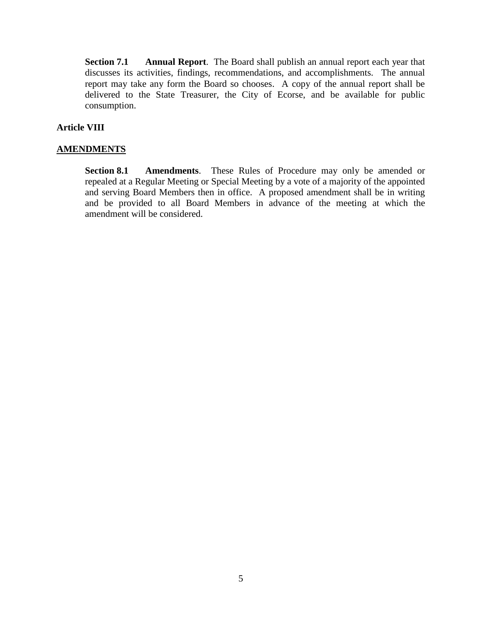**Section 7.1 Annual Report**. The Board shall publish an annual report each year that discusses its activities, findings, recommendations, and accomplishments. The annual report may take any form the Board so chooses. A copy of the annual report shall be delivered to the State Treasurer, the City of Ecorse, and be available for public consumption.

# **Article VIII**

# **AMENDMENTS**

**Section 8.1 Amendments**. These Rules of Procedure may only be amended or repealed at a Regular Meeting or Special Meeting by a vote of a majority of the appointed and serving Board Members then in office. A proposed amendment shall be in writing and be provided to all Board Members in advance of the meeting at which the amendment will be considered.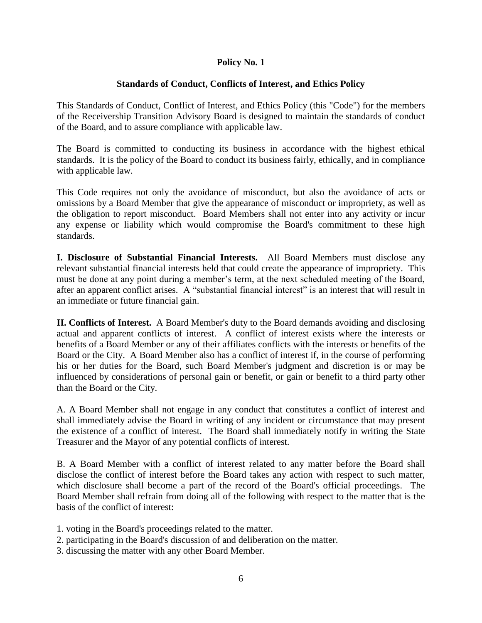# **Policy No. 1**

# **Standards of Conduct, Conflicts of Interest, and Ethics Policy**

This Standards of Conduct, Conflict of Interest, and Ethics Policy (this "Code") for the members of the Receivership Transition Advisory Board is designed to maintain the standards of conduct of the Board, and to assure compliance with applicable law.

The Board is committed to conducting its business in accordance with the highest ethical standards. It is the policy of the Board to conduct its business fairly, ethically, and in compliance with applicable law.

This Code requires not only the avoidance of misconduct, but also the avoidance of acts or omissions by a Board Member that give the appearance of misconduct or impropriety, as well as the obligation to report misconduct. Board Members shall not enter into any activity or incur any expense or liability which would compromise the Board's commitment to these high standards.

**I. Disclosure of Substantial Financial Interests.** All Board Members must disclose any relevant substantial financial interests held that could create the appearance of impropriety. This must be done at any point during a member's term, at the next scheduled meeting of the Board, after an apparent conflict arises. A "substantial financial interest" is an interest that will result in an immediate or future financial gain.

**II. Conflicts of Interest.** A Board Member's duty to the Board demands avoiding and disclosing actual and apparent conflicts of interest. A conflict of interest exists where the interests or benefits of a Board Member or any of their affiliates conflicts with the interests or benefits of the Board or the City. A Board Member also has a conflict of interest if, in the course of performing his or her duties for the Board, such Board Member's judgment and discretion is or may be influenced by considerations of personal gain or benefit, or gain or benefit to a third party other than the Board or the City.

A. A Board Member shall not engage in any conduct that constitutes a conflict of interest and shall immediately advise the Board in writing of any incident or circumstance that may present the existence of a conflict of interest. The Board shall immediately notify in writing the State Treasurer and the Mayor of any potential conflicts of interest.

B. A Board Member with a conflict of interest related to any matter before the Board shall disclose the conflict of interest before the Board takes any action with respect to such matter, which disclosure shall become a part of the record of the Board's official proceedings. The Board Member shall refrain from doing all of the following with respect to the matter that is the basis of the conflict of interest:

- 1. voting in the Board's proceedings related to the matter.
- 2. participating in the Board's discussion of and deliberation on the matter.
- 3. discussing the matter with any other Board Member.